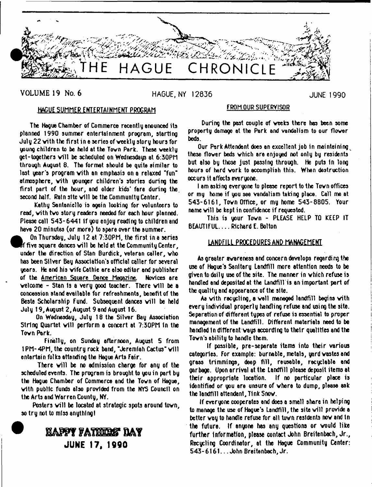

**VOLUME 19 No. 6 HAGUE, NY 12836** 

**JUNE 1990** 

# .HAGUE SUMMER ENTERTAINMENT PROGRAM

The Hague Chamber of Commerce recently enounced its planned 1990 summer entertainment program, starting July 22 vith the first in e series of veekly story hours for young children to be held at the Tovn Park. These veekly get-togethers will be scheduled on Wednesdays at 6:30PM through August 8. The format should be quite similar to last year's program vith an emphasis on a relaxed 'fun' atmosphere, vith younger children's stories during the first part of the hour, and older kids' fare during the. second half. Rain site will be the Community Center.

Kathy Santoniello is ogain looking for volunteers to read, vith tvo story readers needed for each hour planned. Please call 543-644t If you enjoy reading to children and have 20 minutes (or more) to spare over the summer.

On Thursday, July 12 at 7:30PM, the first in a series If five square dances will be held at the Community Center,  $\,$ under the direction of Stan Burdick, veteran caller, vho has been Silver Bay Association's official caller for several years. He and his vife Cathie are also editor and publisher of the American Square Dance Magazine. Novices are  $velcome - Stan$  is a very good teacher. There  $V$ ill be a concession stand available for refreshments, benefit of the Beste Scholarship Fund. Subsequent dances will be held July 19, August 2, August 9 and August 16.

On Wednesday, July 18 the Silver Bay Association String Quartet will perform a concert at 7:30PM in the Tovn Park.

Finally, on Sunday afternoon, August S from 1 PM- 4PM, the country rock band, "Jeremiah Cactus" will entertain folks attending the Hague Arts Fair.

There will be no admission charge for any of the scheduled events. The program is brought to you in part by the Hague Chamber of Commerce and the Tovn of Hague, vith public funds also provided from the NYS Council on the Arts and Warren County, NY.

Posters will be located at strategic spots around town, so try not to miss anything!



### FROM OUR SUPERVISOR

During the past couple of veeks there has been some property damage at the Park and vandalism to our flover beds.

Our Park Attendant does an excellent job in maintaining^ these flover beds vhich are enjoyed not only by residents but also by those just passing through. He puts In long hours of hard vork to accomplish this. When destruction occurs it affects everyone.

I am asking everyone to please report to the Tovn offices or my home if you see vandalism taking place. Call me at 543-6161, Tovn Office, or my home 543-8805. Your name will be kept in confidence if requested.

This is your Tovn - PLEASE HELP TO KEEP IT BEAUTIFUL.... Richard E. Bolton

## LANDFILL PROCEDURES AND MANAGEMENT

As greater avareness and concern develops regarding the use of Hague's Sanitary Landfill more attention needs to be given to daily use of the site. The manner in which refuse is handled and deposited at the Landfill is an important part of the quality and appearance of the site.

As vith recycling, e vail managed landfill begins vith every individual proper!y handling refuse and using the site. Separation of different types of refuse is essential to proper management of the Landfill. Different materials need to be handled In different vays according to their qualities and the Tovn's ability to handle them.

If possible, pre-seperate items into their various categories. For example: burnable, metals, yard vastes and grass trimmings, deep fill, reusable, recyclable and garbage. Upon arrival at the Landfill please deposit items at their appropriate location. If no particular place is identified or you are unsure of vhera to dump, please ask the landfill attendant, Tink Snow.

If everyone cooperates and does a small share in helping to manage the use of Hague's Landfill, the site will provide a better vey to handle refuse for all tovn residents nov and in the future. If anyone has any questions or vould like further information, plea» contact John Breitenbech, Jr., Recycling Coordinator, at the Hague Community Center: 543- 6161... John Breitenbach, Jr.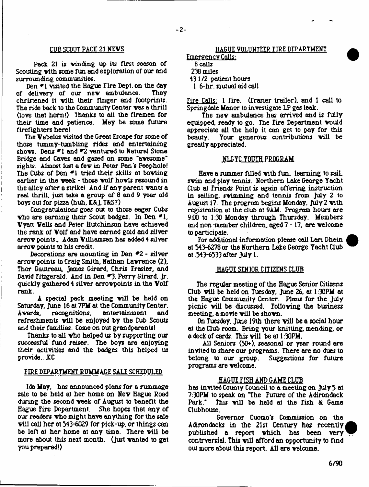## CUB SCOUT PACK 21 KIVS

Pack 21 is winding up its first season of Scouting vith some fun and exploration of our and surrounding communities.

Den **\*1** visited the Hague Fire Dept, on the day delivery of our new embulance. They of delivery of our new ambulance. christened It vith their finger and footprints. The ride back to the Community Center ves a thrill (love that horn!) Thanks to all the firemen for their time and patience. Hay be some future firefighters here!

The Vebelos visited the Great Escape for some of those tummy-tumbling rides and entertaining shows. Dens <sup>#1</sup> and <sup>#2</sup> ventured to Natural Stone Bridge and Caves and gazed on some "avesome" sights. Almost lost a fev in Peter Pan's Peephole! The Cubs of Den \*1 tried their skills at bovling earlier in the veek - those volf hovls resound in the alley after a strike! And if any parent vaats a real thrill, just take a group of 8 and 9 year old boys out for pi2za (huh, C&l T&S?)

Congratulations goes out to those eager Cubs vho are earning their Scout badges. In Den # 1, Vyatt Veils and Peter Hutchinson have achieved the rank of Volf and have earned gold and silver arrov points., Adam Villiamsen has added 4 silver arrov points to his credit.

Decorations are mounting in Den *\*2* - silver arrov points to Craig Smith, Nathan Lavrence (2), Thor Gautreau. James Girard, Chris Frasier, and David Fitzgerald. And in Den \*3, Perry Girard, Jr. quickly gathered 4 silver arrovpoints in the Volf rank.

A special pack meeting vill be held on Saturday, June 16 at 7PM at the Community Center.<br>Awards. recognitions. entertainment and recognitions. refreshments vill be enjoyed by the Cub Scouts and their families. Come on out grandparents!

Thanks to all vho helped us by supporting our successful'fund raiser. The boys are enjoying their activities and the badges this helped us provide.. XC

#### FIRE DEPARTMENT RUMMAGE SALE SCHEDULED

Ida May, has announced plans for a rummage sale to be held at her home on Nev Hague Road during the second veek of August to benefit the Hague Fire Department. She hopes that any of our readers vho might have anything for the sale vill call her at 543-6029 for pick-up, or things can be left at her home at any time. There vill be more about this next month. (lust wanted to get you prepared!)

# HAGUE VOLUNTEER FIRE DEPARTMENT

Emergency Calls: 6 calls

|  | 238 miles |
|--|-----------|
|--|-----------|

**- 2 -**

43 1 /2 patient hours

1 6-hr. mutual aid call

Fire Calls: 1 fire. (Frasier trailer), and 1 call to Springdale Manor to investigate LP gas leak.

The nev ambulance has arrived and is fully equipped, ready to go. The Fire Department would appreciate all the help it can get to pay for this beauty. Your generous contributions will be Your generous contributions vill be greatly appreciated.

## NLGYC YOUTH PROGRAM

Have a summer filled vith fun, learning to sail, svim and play tennis. Northern Lake George Yacht Club at Friends Point is again offering instruction in sailing, svimming and tennis from July 2 to August 17. The program begins Monday. July 2 vith registration at the club at 9AM. Program hours are 900 to 1:30 Monday through Thursday. Members and non-member children, aged 7-17, are velcome to participate.

For additional information please call Lari Dhein at 543-6278 or the Northern Lake George Yacht Club at .543-6533 after July 1.

#### HAGUE SENIOR CITIZENS CLUB

The regular meeting of the Hague Senior Citizens Club vill be held on Tuesday. June 26. at 1:30PM at the Hague Community Center. Plans for the July picnic vill be discussed. Folioving the business meeting, a movie vill be ihovn.

On Tuesday, June 19th there vill be a social hour at the Club room. Bring your knitting, mending, or a deck of cards. This vill be at 1:30PM.

All Seniors (50+), seasonal or year round are invited to share our programs. There are no dues to belong to our group. Suggestions for future programs are velcome.

#### HAGUE FISH AND GAME CLUB

has invited County Council to a meeting on July 5 at 7:30PM to speak on "The Future of the Adirondack This will be held at the Fish & Game. Clubhouse.

Governor Cuomo's Commission on the Adirondacks in the 21st Century has recently, published a report vhich has been very contrversial. This vill afford an opportunity to find out more about this report. All are velcome.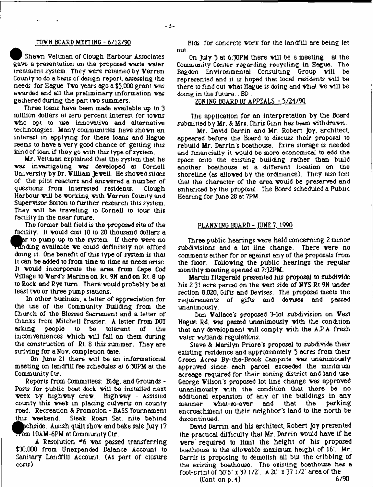#### TOVN BOARD MEETING - 6/12/90

Shavn Veltman of Clough Harbour Associates gave a presentation on the proposed vaste vater treatment system. They vere retained by Varren County to do a basis of design report, assessing the needs for Hague Tvo years ago a \$5,000 grant vas avarded and all the preliminary information vas gathered during the past tvo summers.

Three loans have been made available up to 3 million dollars at 2ero percent interest for tovns vho opt to use innovative and alternative technologies. Many communities have shovn an interest in applying for these loans and Hague seems to have a very good chance of getting this kind of loan if they go vith this type of system.

Mr. Veltman explained that the system that he ves investigating vas developed at Cornell University by Dr. Villiam Jevell. He shoved slides of the pilot reactors and ansvered a number of questions from interested residents. Clough Harbour vill be vorking vith Varren County and Supervisor Bolton to further research this system. They will be traveling to Cornell to tour this facility in the near future.

The former ball field is the proposed site of the facility. It vould cost 10 to 20 thousand dollars a ar to pump up to the system. If there were no E n d in g available ve could definitely not afford doing it. One benefit of this type of system is that it can be added to from time to time as needs arise. It vould incorporate the area from Cape Cod Village to Yard's Marina on Rt. 9N and on Rt. 8 up to Rock and Rye turn. There vould probably be at least tvo or three pump stations.

In other business, a letter of appreciation for the use of the Community Building from the Church of the Blessed Sacrament and a letter of thanks from Mitchell Frasier. A letter from DOT asking people to be tolerant of the inconveniences vhich vill fall on them during the construction of Rt. 8 this summer. They are striving for a Nov. completion date.

On June 21 there vill be an informational meeting on landfill fee schedules at 6:30PM at the Community Ctr.

Reports from Committees: Bldg. and Grounds - Posts for public boat dock vill be installed next veek by highvay crev. Highvay - Assisted county this veek in placing culverts on county road. Recreation A Promotion - BASS Tournament Steak Roast Sat. nite behind.  $\bf$  pch side. Amish quilt show and bake sale July 1?  $\overline{\mathbb{R}^n}$ om 10AM-6PM at Community Ctr.

A Resolution  $\bullet$ 6 vas passed transferring \$30,000 from Unexpended Balance Account to Sanitary Landfill Account. (As part of closure costs)

Bids for concrete vork for the landfill are being let out.

On July 3 at 6:30PM there vill be a meeting at the Community Center regarding recycling in Hegue. The Bagdon Environmental Consulting Group vill be represented and it is hoped that local residents will be there to find out vhat Hague Is doing and vhat ve vill be doing in the future.. BD .

#### ZON IMG BOARD Of APPEALS ^3/21/90.

The application for an interpretation by the Board submitted by Mr. & Mrs. Chris Ginn has been vithdravn.

Mr. David Darrin and Mr. Robert Joy, architect, appeared before the Board to discuss their proposal to rebuild Mr. Darrin's boathouse. Extra storage is needed and financially it vould be more economical to add the space onto the existing building rather than build another boathouse at a dilTerent location on the shoreline (as alloved by the ordinance). They also feel that the character of the area vould be preserved and enhanced by the proposal. The Board scheduled a Public Hearing for June 28 at 7PM.

#### PLANNING BOARD - TUNE 7, 1990

Three public hearings vere held concerning 2 minor subdivisions and a lot line change. There vere no comments either for or against any of the proposals from the floor. Following the public hearings the regular monthly meeting opened at 7:32PM.

Martin Fitzgerald presented his proposal to subdivide his 2.31 acre parcel on the vest side of NYS Rt 9N under section 8.020, Gifts and Devises. The proposal meets the requirements of gifts and devises and passed unanimously.

Dan Vallace's proposed 3-lot subdivision on Vest Hague Rd. vas passed unanimously vith the condition that any development vill comply vith the APA. fresh vater vetlands regulations.

Steve & Marilyn Priore's proposal to subdivide their existing residence and approximately 3 acres from their Green Acres By-the-Brook Campsite vas unanimously approved since each parcel exceeded the minimum acreage required for their zoning district and land use. George Vilson s proposed lot line change vas approved unanimously vith the condition that there be no additional expansion of any of the buildings in any<br>manner what-so-ever and that the parking manner what-so-ever and encroachment on their neighbor's land to the north be discontinued.

David Darrin and his architect, Robert joy presented the practical difficulty that Mr. Darrin vould have if he vere required to limit the height of his proposed boathouse to the ailovable maximum height of 16\*. Mr. Darris is proposing to demolish all but the cribbing of the existing boathouse. The existing boathouse has a foot-print or 30 6' x 37 1 *n \* A 20 x 37 1ZZ area of the

 $(Cont. on p.4)$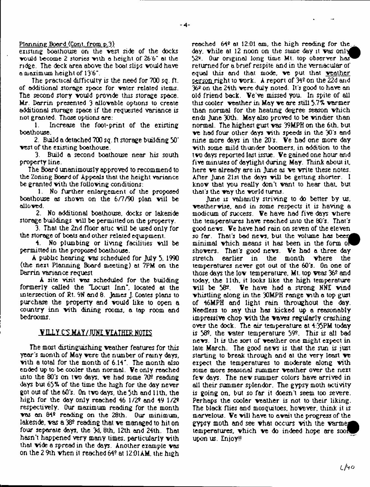#### Planning Board (Cont. from p.3)

existing boathouse on the vest side of the docks vould become 2 stories viih a height of 26 6" at the ridge. The deck area above the boat slips vould have a maximum height of 13'6'.

The practical difficulty is the need for TOO sq. ft. of additional storage space for voter related items. The second story would provide this storage space. Mr. Darrin presented 3 allovable options to create additional storage space if the requested variance is not granted. Those options are:

1. Increase the foot-print of the existing boathouse.

2. Build a detached TOO sq. ft storage building 50' vest of the existing boathouse.

3. Build a second boathouse near his south property line.

The Board unanimously approved to recommend to the Zoning Board of Appeals that the height variance be granted vith the folloving conditions:

1. No further enlargement of the proposed boathouse as shovn on the 6/7/90 plan vill be alloved.

2. No additional boathouse, docks or lakeside storage buildings vill be permitted on the property.

3. That the 2nd floor attic vill be used only for the storage of boats and other related equipment.

4. No plumbing or living facilities vill be permitted in the proposed boathouse.

A public hearing was scheduled for  $\frac{1990}{2}$ (the next Planning Board meeting) at 7PM on the Darrin variance request

A site visit vas scheduled for the building formerly called the 'Locust Inn", located at the intersection of Rt. 9N and 8. James J. Coates plans to purchase the property and vould like to open a country inn vith dining rooms, a tap room end bedrooms.

# **VILLY C'S MAY/JUNE VEATHER NOTES**

The most distinguishing veather features for this year's month of May vere the number of rainy days, vith a total for the month of 6.14'. The month also ended up to be cooler than normal. Ve only reached into the 80's on two days, we had some  $70^\circ$  reading days but 65% of the time the high for the day never got out of the 60\*s. On tvo days, the 5th and 11th, the high for the day only reached 46 1/2® and 49 1/2\* respectively. Our maximum reading for the month vas on 84® reading on the 28th. Our minimum, lakeside, vas a 38® reading that ve managed to hit on four separate days, the 3d, 8th, 12th and 24th. That hasn't happened very many times, particularly vith that vide a spread in the days. Another example vas on the 2 9th when it reached 64° at 12.01 AM, the high reached 64º at 12:01 am, the high reading for the day. while at 12 noon on the same day it was only  $52<sup>°</sup>$ . Our original long time Mt. top observer has returned for a brief respite and in the vernacular of equal this and that mode, ve put that veather person right to vork. A report of 34® on the 22d and 36® on the 24th vere duly noted. It 's good to have an old friend back. Ve've missed you. In spite of all this cooler veather in May ve are still 5.7% varmer than normal for the heating degree season vhich ends June 30th. May also proved to be vindier than normal. The highest gust vas 39MPH on the 6th. but ve had four other days vith speeds in the 30 s and nine more days in the 20's. Ve had one more day vith some mild thunder boomers, in addition to the tvo days reported last issue. Ve gained one hour arid five minutes of daylight during May. Think about it, here ve already are in June as ve vrite these notes. After June 21st the days will be getting shorter. I knov that you really don't vant to hear that, but that's the vay the vorld turns.

June is valiantly striving to do better by us. veathervise, and in some respects it is having a modicum of success. Ve have had five days vhere the temperatures have reached into the 80's. That's good nevs. Ve have had rain on seven of the eleven so far. That's bad news, but the volume has been minimal which means it has been in the form of showers. That's good news. We had a three day<br>stretch earlier in the month where the stretch earlier in the month temperatures never got out of the 60's. On one of those days the lov temperature. Mt. top veas 36® and today, the 11th, it looks like the high temperature vill be 58®. Ve have had a strong NNE vind vhistling along in the 30MPH range with a top gust of 46MPH and light rain throughout the day. Needless to say this has kicked up a reasonably impressive chop vith the vavex regularly crashing over the dock. The air temperature at 4:35PM today is 58®. the vater temperature 59®. This is all bad nevs. It is the sort of veather one might expect in late March. The good nevs is that the sun is just starting to break through and at the very least we expect the temperatures to moderate along vith some more seasonal summer veather over the next fev days. The nev summer colors have arrived in all their summer splendor. The gypsy moth activity is going on, but so far it doesn't seem too severe. Perhaps the cooler **veather** is not to their liking. The black flies and mosquitoes, hovever. think it is marvelous. Ve vill have to avail the progress of the gypsy moth and see what occurs with the warmer temperatures, which we do indeed hope are soon upon us. Enjoy!!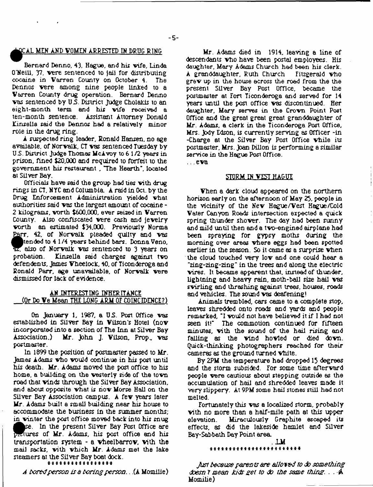# <u>ocal men and vomen arrested in drug ring</u>

Bernard Denno, 43, Hague, and his vife, Linda O'Neill, 37, vere sentenced to jail for distributing cocaine in Varren County on October 4. The Dennos vere among nine people linked to a Varren County drug operation. Bernard Denno vas sentenced by U.S. District Judge Cholakis to an eight-month term and his vife received a ten-month sentence. Assistant Attorney Donald tinsella said the Dennos had a relatively minor role in the drug ring.

A suspected ring leader, Ronald Hansen, no age available, of Norvalk, CT vas sentenced Tuesday by US. District Judge Thomas McAvoy to 6 1 /2 years in prison, fined \$20,000 and required to forfeit to the government his restaurant , "The Hearth\*, located at Silver Bay.

Officials have said the group had ties vith drug rings in CT, NYC and Columbia A raid in Oct. by the Drug Enforcement Administration yielded vhat authorities said vas the largest amount of cocaine - 2 kilograms, vorth \$600,000, ever seised in Varren County. Also confiscated vere cash and jevelry vorth an estimated \$34,000. Previously Norma **Farr, 42, of Norvalk pleaded quilty and vas**<br>tended to 41/4 years behind bars. Donna Veno,<br>42, also of Norvalk vas sentenced to 3 years on<br>probation. Kinsella said charges against two<br>detendents lames. Wheeleck an of Homd tended to 4 1 /4 years behind bars. Donna Veno, 42, also of Norvalk vas sentenced to 3 years on probation. Kinsella said charges against tvo derendents, James Vheelock, 40, of Ticonderoga and Ronald Parr, age unavailable, of Norvalk vere dismissed for lack of evidence.

## AN INTERESTING INHERITANCE (Or Do Ve Mean THE LONG ARM OP COINCIDENCE?)

On January 1, 1987, a US. Post Office vas established in Silver Bay in Vilson's Hotel (nov incorporated into a section of The Inn at Silver Bay Association.) Mr. John J. Vilson, Prop., vas postmaster.

In 1899 the position of postmaster passed to Mr. James Adams vho vould continue in his post until his death. Mr. Adams moved the post office to his home, a building on the vesterly side of the tovn road that vinds through the Silver Bay Association, and about opposite vhat is nov Morse Hall on the Silver Bay Association campus. A fev years later Ur. Adams built a small building near his house to accommodate the business in the summer months; in vinter the post office moved back into his snug ^fcse. In the present Silver Bay Post Office are partures of Mr. Adams, his post office and his transportation system - a vheelbarrov. vith the mail sacks, vith vhich Mr. Adams met the lake steamers at the Silver Bay boat dock. \*\*\*\*\*\*\*\*\*\*\*\*\*\*\*\*

*A boreJperson is a boring person..* .(A Momilie)

Mr. Adams died in 1914, leaving a line of descendants vho have been postal employees. His daughter. Mary Adams Church had been his clerk. A granddaughter, Ruth Church Fitzgerald vho grev up in the house across the road from the the present Silver Bay Post Office, became the postmaster at Fort Ticonderoga and served for 14 years until the post office vas discontinued. Her daughter, Mary serves in the Crovn Point Post Office and the great great great granddaughter of Mr. Adams, a clerk in the Ticonderoga Post Office, Mrs. Jody Edson, is currently serving as Officer -in -Charge at the Silver Bay Post Office vhile its postmaster, Mrs. Joan Dillon is performing a similar service in the Hague Post Office.

.. .eva

#### STORM IN VEST HAGUE

Vhen a dark cloud appeared on the northern horizon early on the afternoon of May 25, people in the vicinity of the Nev Hague/Vest Hague/Cold Vater Canyon Roads intersection expected a quick spring thunder shover. The day had been sunny and mild until then and a tvo-engined airplane had been spraying for gypsy moths during the morning over areas vhere eggs had been spotted earlier in the season. So it came as a surprise vhen the cloud touched very lov and one could hear a "2ing-2ing-2ing" in the trees and along the electric vires. It became apparent that, instead of thunder, lightning and heavy rain, moth-ball size hail vas svirling and thrashing against trees, houses, roads and vehicles. The sound vas deafening!

Animals trembled, cars came to a complete stop, leaves shredded onto roads and yards and people remarked, "I vould not have believed it if I had not seen it!' The commotion continued for fifteen minutes, vith the sound of the hail rising and falling as the vind hovled or died dovn. Quick-thinking photographers reached for their cameras as the ground turned vhite.

By 2PM the temperature had dropped 15 degrees and the storm subsided. For some time aftervard people vere cautious about stepping outside as the accumulation of hail and shredded leaves made it very slippery. At 9PM some hail stones still had not melted.

Fortunately this vas a localized storm, probably vith no more than a half-mile path at this upper elevation. Miraculously Graphite escaped its effects, as did the lakeside hamlet and Silver Bey-Sabbath Day Point area.

.1M

*Just because parents are ai/oved to Jo som ething Joesn it mean kids get to Jo the same thing.* . . . A Momilie)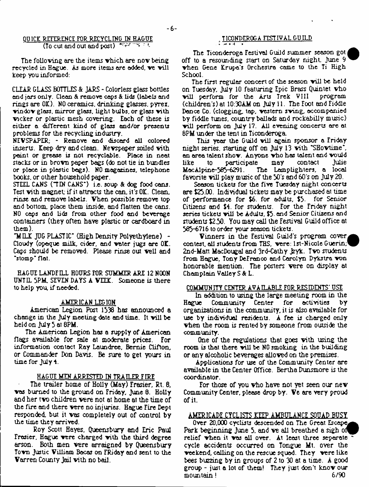#### QUICK REFERENCE FOR RECYCLING IK HAGUE (To cut and out and post)  $\frac{4\pi\pi}{3}$   $\frac{4\pi}{3}$   $\frac{4\pi}{3}$

The folloving are the items vhich are nov being recycled in Hague. As more items are added, ve vill keep you informed:

CLEAR CLASS BOTTLES & JARS - Colorless glass bottles and jars only. Clean & remove caps & lids (labels and rings are OK). NO ceramics, drinking glasses, pyrex. vindov glass, mirror glass, light bulbs, or glass vith vicker or plastic mesh covering. Each of these is either a different kind of glass and/or presents problems for the recycling industry.

NEV SPARER; - Remove and discard all colored inserts. Keep dry and clean. Nevspaper soiled vith point or grease is not recyclable. Place in neat stacks or in brovn paper bags (do not tie in bundles or place in plastic bags). NO magazines, telephone books, or other household paper.

STEEL CANS ("TIN CANS\*) i.e. soup & dog food cans. Test vith magnet if it attracts the can. it's OK. Clean, rinse and remove labels. Vhen possible remove top and bottom, place them inside, and flatten the cans. NO caps and lids from other food and beverage containers (they often have plastic or cardboard in them).

"MILK JOG PLASTIC\* (High Density Polyethylene) - Cloudy (opaque milk, cider, and vater jugs are OK. Caps should be removed. Please rinse out veil and  $"$ stom $p"$  flat.

HAGOE LANDFILL HOURS FOR SUMMER ARE 12 NOON UNTIL 5PM. SEVEN DATS A VEEK. Someone is there to help you, if needed.

#### AMERICAN LEGION

American Legion Post 1538 has announced a change in the July meeting date and time. It vill be held on July 5 at 8PM.

The American Legion has a supply of American flags available for sale at moderate prices. For information contact Ray Laundree, Bernie Clifton, or Commander Don Davis. Be sure to get yours in time for July 4.

## HAGUF MIN ARRESTED IN TRAILER FTPF

The trailer home of Holly (May) Frasier, Rt. 8. vas burned to the ground on Friday, June 8. Holly and her tvo children vere not at home at the time of the fire and there vere no injuries. Hague Fire Dept responded, but it vas completely out of control by the time they arrived.

Roy Scott Bayes. Queensbury and Eric Paul Frasier, Hague vere charged vith the third degree arson. Both men vere arraigned by Queensbury Tovn jus tic Villiam Bacas on FRiday and sent to the Varren County Jail vith no bail.

# TICONDEROGA FESTIVAL GUILD . \* *m* n

The Ticonderoga Festival Guild summer season got off to a resounding start on Saturday night June 9 ^ ^ vhen Gene Krupa's Orchestra came to the Ti High School.

The first regular concert of the season vill be held on Tuesday, July 10 featuring Epic Brass Quintet who will be<br>program for the Arts Trek VIII program vill perform for the Arts Trek VIII (children's) at 10:30AM on July 11. The Foot and Fiddle Dance Co. (clogging, tap, vestero sving, accompanied by fiddle tunes, country ballads and rockabilly music) vill perform on July 17. All evening concerts are at 8PM under the tent in Ticonderoga.

This year the Guild vill again sponsor a Friday night series, starting off on July 13 vith "SHovtime\*, an area talent shov. Anyone vho has talent and vould like to participate may contact Julie Mac Alpine-585-8291. The Lamplighters, a local favorite vill play music of the  $50$ 's and  $60$ 's on July 20.

Season tickets for the five Tuesday night concerts are 525.00. Individual tickets may be purchased at time of performance for 56. for adults, 55- for Senior Citizens and 54. for students. For the Friday night series tickets vill be Adults, 55- and Senior Citizens and students 52.50. You may call the Festival Guild office at 585-6716 to order your season tickets.

Vinners in the Festival Guild's program cover contest, all students from THS. were: 1st-Nicole Guerin; $^{\prime}$ 2nd-Matt MacDougal and 3rd-Cathy jzyk. Tvo students from Hague, Tony DeFranco end Carolyn Dykstra von honorable mention. The posters vere on display at Champlain Valley S & L.

# COMMUNITY CENTER AVAILABLE FOR RESIDENTS' USE

In addition to using the large meeting room in the<br>ue – Community – Center – for – activities – by Hague Community Center for activities by organizations in the community, it is also available for use by individual residents. A fee is charged only vhen the room is rented by someone from outside the community.

One of the regulations that goes vith using the room is that there vill be NO smoking in the building or any alcoholic beverages alloved on the premises.

Applications for use of the Community Center are available in the Center Office. Bertha Dunsmore is the coordinator.

For those of you vho have not yet seen our nev Community Center, please drop by. Ve are very proud of it.

# AMERICADF CYCLISTS KEEP AMBULANCE SQUAD BUSY

Over 20,000 cyclists descended on The Great Escape, Park beginning June 5, and we all breathed a sigh of relief when it was all over. At least three separate cycle accidents occurred cm Tongue Mt. over the veekend, calling on the rescue squad. They vere like bees buzzing by in groups of 2 to 30 at a time. A good group - just a lot of them! They just don't knov our mountain! 6/90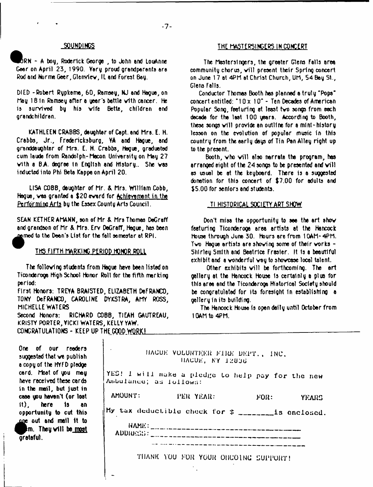## -SQUHD1NGS

- A boy, Roderick George , to John end LouAnne Geer on April 23, 1990. Very proud grandparents ere Rod arid Nor me Geer, Glenviev, IL and forest Bey.

DIED -Robert Rgpkeme, 60, Ramsey, NJ and Hague, on nay 18 In Ramsey after a year's battle vith cancer. He is survived by his vife Bette, children end grandchildren.

KATHLEEN CRABBS, daughter of Cept. and Mrs. E. H. Crabbs, Jr., Fredericksburg, YA and Hague, and granddaughter of Mrs. E. H. Crabbs, Hague, graduated cum taude from Randolph-Macon University on May 27 with a BA. degree tn English and History.. She vas inducted into Phi Beta Kappa on April 20.

LISA COBB, daughter of Mr. & Mrs. William Cobb, Hague, vas granted a \$20 evard for Achievement in the Performing Arts bu the Essex County Arts Council.

SEAN KETHER AMANN, son of Mr & Mrs Thomas DeGraff and grandson of Mr & Mrs. Erv DeGraff, Hague, has been yarned to the Dean's List for the fall semester at RPI.

#### TH3 FIFTH MARKING PERIOD HONOR ROLL

The folloving students from Hogue have been listed on Ticonderoga High School Honor Roll for the fifth marking period:

First Honors: TREYA BRAISTED, ELIZABETH DeFRANCO, TONY DeFRANCO, CAROLINE DYKSTRA, AMY ROSS, MICHELLE WATERS

Second Honors: RICHARD COBB, TIEAH GAUTREAU, KRISTY PORTER, YICKI WATERS, KELLY YAW. CONGRATULATIONS - KEEP UP THE GOOD W0RK1

#### **THE MA5TERSINGERS IN CONCERT**

The Masterslngers, the greater dens Falls area community chorus, will present their Spring concert on June 17 at 4PM at Christ Church, UM, 54 Bey St., Glens Falls.

Conductor Thomas Booth has planned a truly "Pops" concert entitled:" 10 x 10' - Ten Decades of American Popular Song, featuring at least tvo songs from each decade for the last 100 yaars. According to Booth, these songs will provide an outline for a mini-history. lesson on the evolution of popular music in this country from the early days of Tin Pan Alley right up to the present.

Booth, who will also narrate the program, hes arranged eight of the 24 songs to be presented and will as usual be at the keyboard. There is a suggested donetion for this concert of \$7.00 for adults and \$5.00 for seniors and students.

#### Tl HISTORICAL SOCIETY ART SHOW

Don't miss the opportunity to sea the art ehov featuring Ticonderoga area artists at the Hancock house through June 30. Hours are from t OAM-4PM. Tvo Hogue artists are shoving some of their vorks - Shlrleg Smith and Beatrice Frasier. It Is a beautiful exhibit and a vonderful vey to shovcase local talent.

Other exhibits will be forthcoming. The art gallery at the Hancock house 1s certainly a plus for this area and the Ticonderoga Historical Society should be congratulated for its foresight 1n establishing a gallery in its building.

The Hancock House is open daily until October from 10AM to 4PM,

| One of our readers<br>suggested that we publish<br>a copy of the HYFD pledge.              | HACUE VOLUNTEER FIRE DEPT., INC.<br>HACUE, NY 12836 |                                                    |  |       |              |
|--------------------------------------------------------------------------------------------|-----------------------------------------------------|----------------------------------------------------|--|-------|--------------|
| card. Most of you may<br>have received these cards                                         | Ambulance; as follows:                              | YES! I will make a pledge to help pay for the new  |  |       |              |
| in the med, but just in<br>case you haven't (or lost<br>$(t)$ , here is an                 | AMOUNT:                                             | <b>PER YEAR:</b>                                   |  | FOIS: | <b>TEARS</b> |
| opportunity to cut this<br>age out and mail it to<br>$km$ . They will be most<br>grataful. |                                                     | My tax deductible check for \$ _______is enclosed. |  |       |              |
|                                                                                            |                                                     | THANK YOU FOR YOUR ONCOING SUPPORT!                |  |       |              |